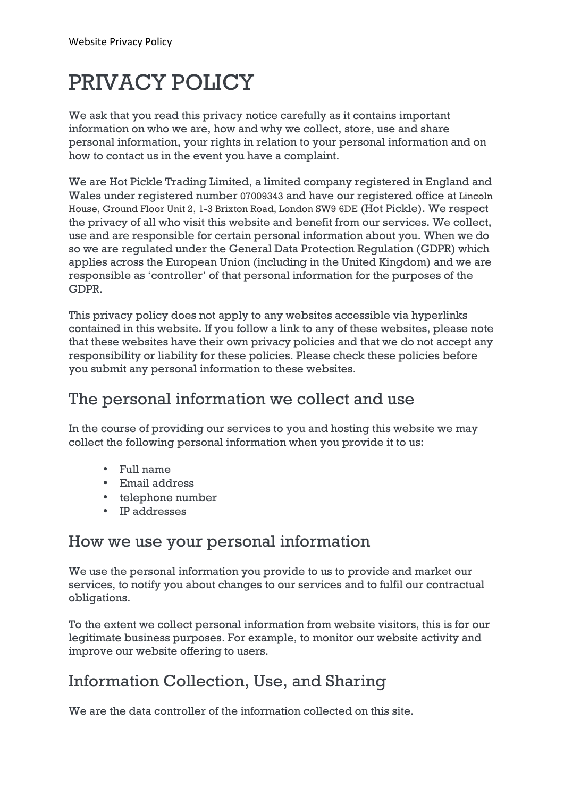# PRIVACY POLICY

We ask that you read this privacy notice carefully as it contains important information on who we are, how and why we collect, store, use and share personal information, your rights in relation to your personal information and on how to contact us in the event you have a complaint.

We are Hot Pickle Trading Limited, a limited company registered in England and Wales under registered number 07009343 and have our registered office at Lincoln House, Ground Floor Unit 2, 1-3 Brixton Road, London SW9 6DE (Hot Pickle). We respect the privacy of all who visit this website and benefit from our services. We collect, use and are responsible for certain personal information about you. When we do so we are regulated under the General Data Protection Regulation (GDPR) which applies across the European Union (including in the United Kingdom) and we are responsible as 'controller' of that personal information for the purposes of the GDPR.

This privacy policy does not apply to any websites accessible via hyperlinks contained in this website. If you follow a link to any of these websites, please note that these websites have their own privacy policies and that we do not accept any responsibility or liability for these policies. Please check these policies before you submit any personal information to these websites.

#### The personal information we collect and use

In the course of providing our services to you and hosting this website we may collect the following personal information when you provide it to us:

- Full name
- Email address
- telephone number
- IP addresses

#### How we use your personal information

We use the personal information you provide to us to provide and market our services, to notify you about changes to our services and to fulfil our contractual obligations.

To the extent we collect personal information from website visitors, this is for our legitimate business purposes. For example, to monitor our website activity and improve our website offering to users.

#### Information Collection, Use, and Sharing

We are the data controller of the information collected on this site.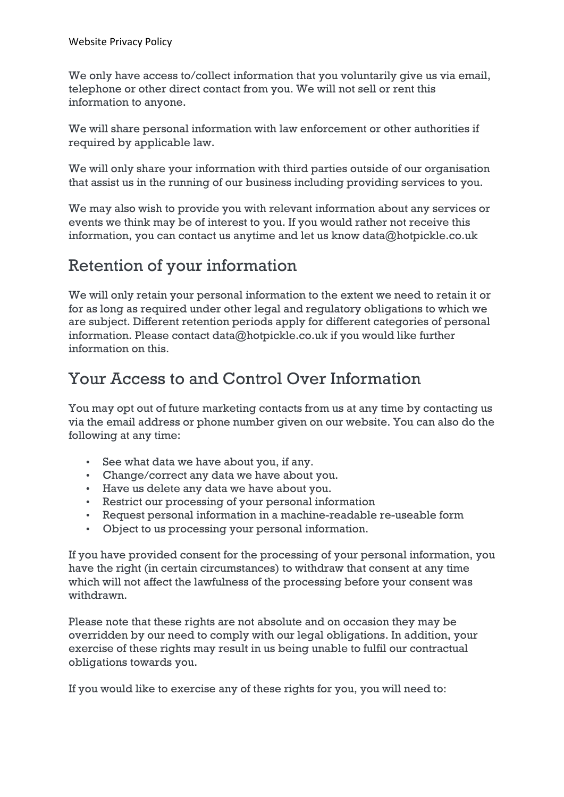We only have access to/collect information that you voluntarily give us via email, telephone or other direct contact from you. We will not sell or rent this information to anyone.

We will share personal information with law enforcement or other authorities if required by applicable law.

We will only share your information with third parties outside of our organisation that assist us in the running of our business including providing services to you.

We may also wish to provide you with relevant information about any services or events we think may be of interest to you. If you would rather not receive this information, you can contact us anytime and let us know data@hotpickle.co.uk

#### Retention of your information

We will only retain your personal information to the extent we need to retain it or for as long as required under other legal and regulatory obligations to which we are subject. Different retention periods apply for different categories of personal information. Please contact data@hotpickle.co.uk if you would like further information on this.

## Your Access to and Control Over Information

You may opt out of future marketing contacts from us at any time by contacting us via the email address or phone number given on our website. You can also do the following at any time:

- See what data we have about you, if any.
- Change/correct any data we have about you.
- Have us delete any data we have about you.
- Restrict our processing of your personal information
- Request personal information in a machine-readable re-useable form
- Object to us processing your personal information.

If you have provided consent for the processing of your personal information, you have the right (in certain circumstances) to withdraw that consent at any time which will not affect the lawfulness of the processing before your consent was withdrawn.

Please note that these rights are not absolute and on occasion they may be overridden by our need to comply with our legal obligations. In addition, your exercise of these rights may result in us being unable to fulfil our contractual obligations towards you.

If you would like to exercise any of these rights for you, you will need to: